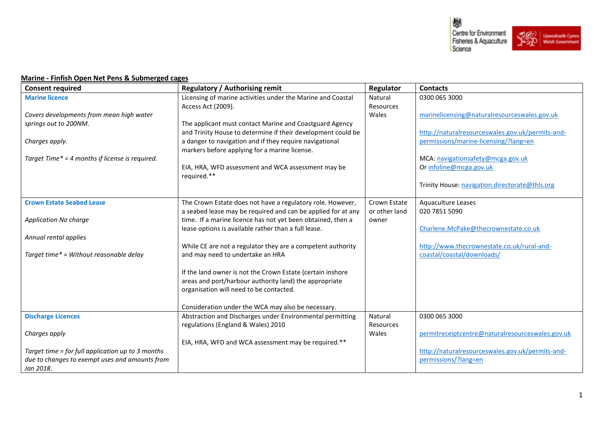

## **Marine - Finfish Open Net Pens & Submerged cages**

| <b>Consent required</b>                           | <b>Regulatory / Authorising remit</b>                                                             | Regulator     | <b>Contacts</b>                                  |
|---------------------------------------------------|---------------------------------------------------------------------------------------------------|---------------|--------------------------------------------------|
| <b>Marine licence</b>                             | Licensing of marine activities under the Marine and Coastal                                       | Natural       | 0300 065 3000                                    |
|                                                   | Access Act (2009).                                                                                | Resources     |                                                  |
| Covers developments from mean high water          |                                                                                                   | Wales         | marinelicensing@naturalresourceswales.gov.uk     |
| springs out to 200NM.                             | The applicant must contact Marine and Coastguard Agency                                           |               |                                                  |
|                                                   | and Trinity House to determine if their development could be                                      |               | http://naturalresourceswales.gov.uk/permits-and- |
| Charges apply.                                    | a danger to navigation and if they require navigational                                           |               | permissions/marine-licensing/?lang=en            |
|                                                   | markers before applying for a marine license.                                                     |               |                                                  |
| Target Time* = 4 months if license is required.   |                                                                                                   |               | MCA: navigationsafety@mcga.gov.uk                |
|                                                   | EIA, HRA, WFD assessment and WCA assessment may be                                                |               | Or infoline@mcga.gov.uk                          |
|                                                   | required.**                                                                                       |               |                                                  |
|                                                   |                                                                                                   |               | Trinity House: navigation.directorate@thls.org   |
|                                                   |                                                                                                   |               |                                                  |
| <b>Crown Estate Seabed Lease</b>                  | The Crown Estate does not have a regulatory role. However,                                        | Crown Estate  | Aquaculture Leases                               |
|                                                   | a seabed lease may be required and can be applied for at any                                      | or other land | 020 7851 5090                                    |
| <b>Application No charge</b>                      | time. If a marine licence has not yet been obtained, then a                                       | owner         |                                                  |
|                                                   | lease options is available rather than a full lease.                                              |               | Charlene.McPake@thecrownestate.co.uk             |
| Annual rental applies                             |                                                                                                   |               |                                                  |
|                                                   | While CE are not a regulator they are a competent authority                                       |               | http://www.thecrownestate.co.uk/rural-and-       |
| Target time* = Without reasonable delay           | and may need to undertake an HRA                                                                  |               | coastal/coastal/downloads/                       |
|                                                   |                                                                                                   |               |                                                  |
|                                                   | If the land owner is not the Crown Estate (certain inshore                                        |               |                                                  |
|                                                   | areas and port/harbour authority land) the appropriate<br>organisation will need to be contacted. |               |                                                  |
|                                                   |                                                                                                   |               |                                                  |
|                                                   | Consideration under the WCA may also be necessary.                                                |               |                                                  |
| <b>Discharge Licences</b>                         | Abstraction and Discharges under Environmental permitting                                         | Natural       | 0300 065 3000                                    |
|                                                   | regulations (England & Wales) 2010                                                                | Resources     |                                                  |
| Charges apply                                     |                                                                                                   | Wales         | permitreceiptcentre@naturalresourceswales.gov.uk |
|                                                   | EIA, HRA, WFD and WCA assessment may be required.**                                               |               |                                                  |
| Target time = for full application up to 3 months |                                                                                                   |               | http://naturalresourceswales.gov.uk/permits-and- |
| due to changes to exempt uses and amounts from    |                                                                                                   |               | permissions/?lang=en                             |
| Jan 2018.                                         |                                                                                                   |               |                                                  |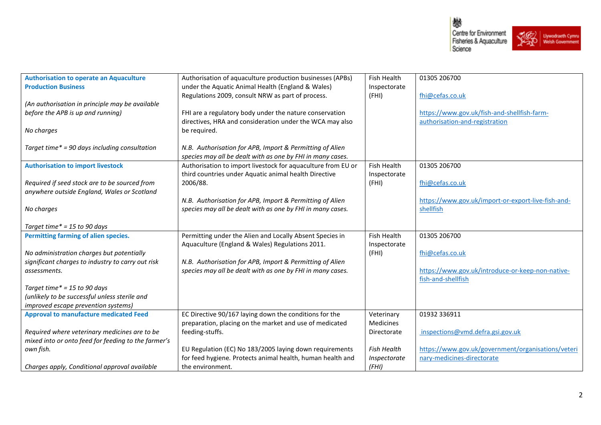

| <b>Authorisation to operate an Aquaculture</b>      | Authorisation of aquaculture production businesses (APBs)    | <b>Fish Health</b> | 01305 206700                                       |
|-----------------------------------------------------|--------------------------------------------------------------|--------------------|----------------------------------------------------|
| <b>Production Business</b>                          | under the Aquatic Animal Health (England & Wales)            | Inspectorate       |                                                    |
|                                                     | Regulations 2009, consult NRW as part of process.            | (FHI)              | fhi@cefas.co.uk                                    |
| (An authorisation in principle may be available     |                                                              |                    |                                                    |
| before the APB is up and running)                   | FHI are a regulatory body under the nature conservation      |                    | https://www.gov.uk/fish-and-shellfish-farm-        |
|                                                     | directives, HRA and consideration under the WCA may also     |                    | authorisation-and-registration                     |
| No charges                                          | be required.                                                 |                    |                                                    |
|                                                     |                                                              |                    |                                                    |
| Target time* = 90 days including consultation       | N.B. Authorisation for APB, Import & Permitting of Alien     |                    |                                                    |
|                                                     | species may all be dealt with as one by FHI in many cases.   |                    |                                                    |
| <b>Authorisation to import livestock</b>            | Authorisation to import livestock for aquaculture from EU or | Fish Health        | 01305 206700                                       |
|                                                     | third countries under Aquatic animal health Directive        | Inspectorate       |                                                    |
| Required if seed stock are to be sourced from       | 2006/88.                                                     | (FHI)              | fhi@cefas.co.uk                                    |
| anywhere outside England, Wales or Scotland         |                                                              |                    |                                                    |
|                                                     | N.B. Authorisation for APB, Import & Permitting of Alien     |                    | https://www.gov.uk/import-or-export-live-fish-and- |
| No charges                                          | species may all be dealt with as one by FHI in many cases.   |                    | shellfish                                          |
|                                                     |                                                              |                    |                                                    |
| Target time $* = 15$ to 90 days                     |                                                              |                    |                                                    |
| Permitting farming of alien species.                | Permitting under the Alien and Locally Absent Species in     | Fish Health        | 01305 206700                                       |
|                                                     | Aquaculture (England & Wales) Regulations 2011.              | Inspectorate       |                                                    |
| No administration charges but potentially           |                                                              | (FHI)              | fhi@cefas.co.uk                                    |
| significant charges to industry to carry out risk   | N.B. Authorisation for APB, Import & Permitting of Alien     |                    |                                                    |
| assessments.                                        | species may all be dealt with as one by FHI in many cases.   |                    | https://www.gov.uk/introduce-or-keep-non-native-   |
|                                                     |                                                              |                    | fish-and-shellfish                                 |
| Target time* = 15 to 90 days                        |                                                              |                    |                                                    |
| (unlikely to be successful unless sterile and       |                                                              |                    |                                                    |
| improved escape prevention systems)                 |                                                              |                    |                                                    |
| <b>Approval to manufacture medicated Feed</b>       | EC Directive 90/167 laying down the conditions for the       | Veterinary         | 01932 336911                                       |
|                                                     | preparation, placing on the market and use of medicated      | Medicines          |                                                    |
| Required where veterinary medicines are to be       | feeding-stuffs.                                              | Directorate        | inspections@vmd.defra.gsi.gov.uk                   |
| mixed into or onto feed for feeding to the farmer's |                                                              |                    |                                                    |
| own fish.                                           | EU Regulation (EC) No 183/2005 laying down requirements      | <b>Fish Health</b> | https://www.gov.uk/government/organisations/veteri |
|                                                     | for feed hygiene. Protects animal health, human health and   | Inspectorate       | nary-medicines-directorate                         |
| Charges apply, Conditional approval available       | the environment.                                             | (FHI)              |                                                    |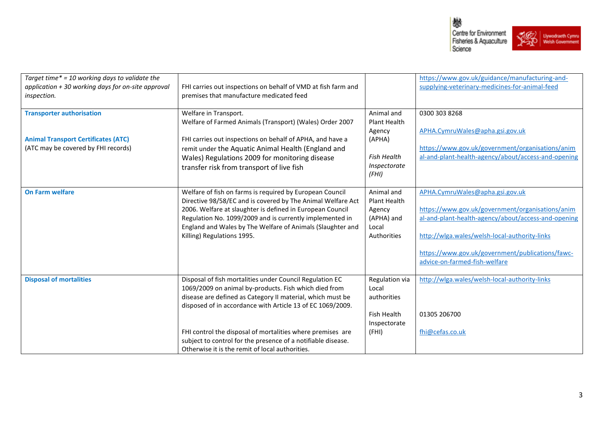



| Target time* = 10 working days to validate the<br>application + 30 working days for on-site approval<br>inspection.   | FHI carries out inspections on behalf of VMD at fish farm and<br>premises that manufacture medicated feed                                                                                                                                                                                                                                                                                                                      |                                                                                               | https://www.gov.uk/guidance/manufacturing-and-<br>supplying-veterinary-medicines-for-animal-feed                                                                                                                                                                                 |
|-----------------------------------------------------------------------------------------------------------------------|--------------------------------------------------------------------------------------------------------------------------------------------------------------------------------------------------------------------------------------------------------------------------------------------------------------------------------------------------------------------------------------------------------------------------------|-----------------------------------------------------------------------------------------------|----------------------------------------------------------------------------------------------------------------------------------------------------------------------------------------------------------------------------------------------------------------------------------|
| <b>Transporter authorisation</b><br><b>Animal Transport Certificates (ATC)</b><br>(ATC may be covered by FHI records) | Welfare in Transport.<br>Welfare of Farmed Animals (Transport) (Wales) Order 2007<br>FHI carries out inspections on behalf of APHA, and have a<br>remit under the Aquatic Animal Health (England and<br>Wales) Regulations 2009 for monitoring disease<br>transfer risk from transport of live fish                                                                                                                            | Animal and<br>Plant Health<br>Agency<br>(APHA)<br><b>Fish Health</b><br>Inspectorate<br>(FHI) | 0300 303 8268<br>APHA.CymruWales@apha.gsi.gov.uk<br>https://www.gov.uk/government/organisations/anim<br>al-and-plant-health-agency/about/access-and-opening                                                                                                                      |
| <b>On Farm welfare</b>                                                                                                | Welfare of fish on farms is required by European Council<br>Directive 98/58/EC and is covered by The Animal Welfare Act<br>2006. Welfare at slaughter is defined in European Council<br>Regulation No. 1099/2009 and is currently implemented in<br>England and Wales by The Welfare of Animals (Slaughter and<br>Killing) Regulations 1995.                                                                                   | Animal and<br>Plant Health<br>Agency<br>(APHA) and<br>Local<br>Authorities                    | APHA.CymruWales@apha.gsi.gov.uk<br>https://www.gov.uk/government/organisations/anim<br>al-and-plant-health-agency/about/access-and-opening<br>http://wlga.wales/welsh-local-authority-links<br>https://www.gov.uk/government/publications/fawc-<br>advice-on-farmed-fish-welfare |
| <b>Disposal of mortalities</b>                                                                                        | Disposal of fish mortalities under Council Regulation EC<br>1069/2009 on animal by-products. Fish which died from<br>disease are defined as Category II material, which must be<br>disposed of in accordance with Article 13 of EC 1069/2009.<br>FHI control the disposal of mortalities where premises are<br>subject to control for the presence of a notifiable disease.<br>Otherwise it is the remit of local authorities. | Regulation via<br>Local<br>authorities<br>Fish Health<br>Inspectorate<br>(FHI)                | http://wlga.wales/welsh-local-authority-links<br>01305 206700<br>fhi@cefas.co.uk                                                                                                                                                                                                 |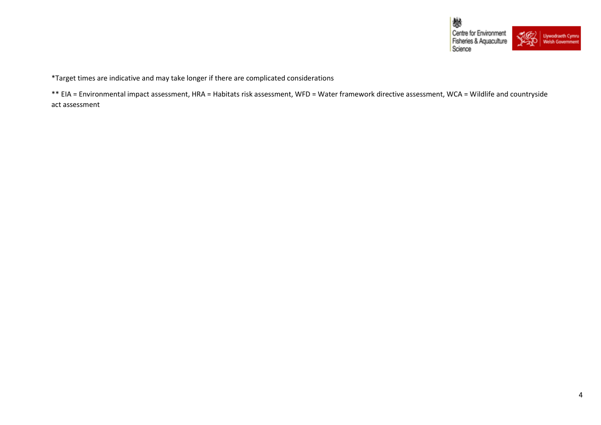

\*Target times are indicative and may take longer if there are complicated considerations

\*\* EIA = Environmental impact assessment, HRA = Habitats risk assessment, WFD = Water framework directive assessment, WCA = Wildlife and countryside act assessment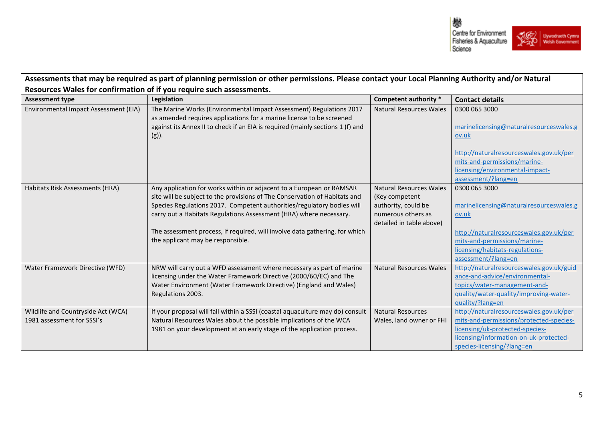

| Assessments that may be required as part of planning permission or other permissions. Please contact your Local Planning Authority and/or Natural |                                                                                                                                             |                                |                                          |  |  |
|---------------------------------------------------------------------------------------------------------------------------------------------------|---------------------------------------------------------------------------------------------------------------------------------------------|--------------------------------|------------------------------------------|--|--|
| Resources Wales for confirmation of if you require such assessments.                                                                              |                                                                                                                                             |                                |                                          |  |  |
| <b>Assessment type</b>                                                                                                                            | Legislation                                                                                                                                 | Competent authority *          | <b>Contact details</b>                   |  |  |
| Environmental Impact Assessment (EIA)                                                                                                             | The Marine Works (Environmental Impact Assessment) Regulations 2017<br>as amended requires applications for a marine license to be screened | <b>Natural Resources Wales</b> | 0300 065 3000                            |  |  |
|                                                                                                                                                   | against its Annex II to check if an EIA is required (mainly sections 1 (f) and                                                              |                                | marinelicensing@naturalresourceswales.g  |  |  |
|                                                                                                                                                   | $(g)$ ).                                                                                                                                    |                                | ov.uk                                    |  |  |
|                                                                                                                                                   |                                                                                                                                             |                                | http://naturalresourceswales.gov.uk/per  |  |  |
|                                                                                                                                                   |                                                                                                                                             |                                | mits-and-permissions/marine-             |  |  |
|                                                                                                                                                   |                                                                                                                                             |                                | licensing/environmental-impact-          |  |  |
|                                                                                                                                                   |                                                                                                                                             |                                | assessment/?lang=en                      |  |  |
| Habitats Risk Assessments (HRA)                                                                                                                   | Any application for works within or adjacent to a European or RAMSAR                                                                        | <b>Natural Resources Wales</b> | 0300 065 3000                            |  |  |
|                                                                                                                                                   | site will be subject to the provisions of The Conservation of Habitats and                                                                  | (Key competent                 |                                          |  |  |
|                                                                                                                                                   | Species Regulations 2017. Competent authorities/regulatory bodies will                                                                      | authority, could be            | marinelicensing@naturalresourceswales.g  |  |  |
|                                                                                                                                                   | carry out a Habitats Regulations Assessment (HRA) where necessary.                                                                          | numerous others as             | ov.uk                                    |  |  |
|                                                                                                                                                   |                                                                                                                                             | detailed in table above)       |                                          |  |  |
|                                                                                                                                                   | The assessment process, if required, will involve data gathering, for which                                                                 |                                | http://naturalresourceswales.gov.uk/per  |  |  |
|                                                                                                                                                   | the applicant may be responsible.                                                                                                           |                                | mits-and-permissions/marine-             |  |  |
|                                                                                                                                                   |                                                                                                                                             |                                | licensing/habitats-regulations-          |  |  |
|                                                                                                                                                   |                                                                                                                                             |                                | assessment/?lang=en                      |  |  |
| Water Framework Directive (WFD)                                                                                                                   | NRW will carry out a WFD assessment where necessary as part of marine                                                                       | <b>Natural Resources Wales</b> | http://naturalresourceswales.gov.uk/guid |  |  |
|                                                                                                                                                   | licensing under the Water Framework Directive (2000/60/EC) and The                                                                          |                                | ance-and-advice/environmental-           |  |  |
|                                                                                                                                                   | Water Environment (Water Framework Directive) (England and Wales)                                                                           |                                | topics/water-management-and-             |  |  |
|                                                                                                                                                   | Regulations 2003.                                                                                                                           |                                | quality/water-quality/improving-water-   |  |  |
|                                                                                                                                                   |                                                                                                                                             |                                | guality/?lang=en                         |  |  |
| Wildlife and Countryside Act (WCA)                                                                                                                | If your proposal will fall within a SSSI (coastal aquaculture may do) consult                                                               | <b>Natural Resources</b>       | http://naturalresourceswales.gov.uk/per  |  |  |
| 1981 assessment for SSSI's                                                                                                                        | Natural Resources Wales about the possible implications of the WCA                                                                          | Wales, land owner or FHI       | mits-and-permissions/protected-species-  |  |  |
|                                                                                                                                                   | 1981 on your development at an early stage of the application process.                                                                      |                                | licensing/uk-protected-species-          |  |  |
|                                                                                                                                                   |                                                                                                                                             |                                | licensing/information-on-uk-protected-   |  |  |
|                                                                                                                                                   |                                                                                                                                             |                                | species-licensing/?lang=en               |  |  |